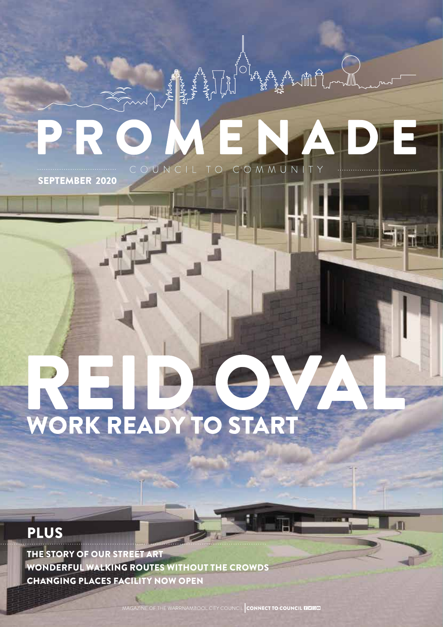# COMMUN COUNCIL TO

SEPTEMBER 2020

## WORK READY TO START

## PLUS

THE STORY OF OUR STREET ART WONDERFUL WALKING ROUTES WITHOUT THE CROWDS CHANGING PLACES FACILITY NOW OPEN

AAGAZINE OF THE WARRNAMBOOL CITY COUNCIL CONNECT TO COUNCIL **EID@D**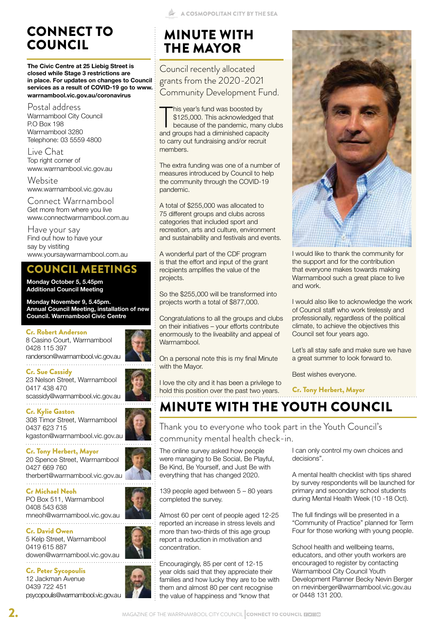## CONNECT TO COUNCIL

**The Civic Centre at 25 Liebig Street is closed while Stage 3 restrictions are in place. For updates on changes to Council services as a result of COVID-19 go to www. warrnambool.vic.gov.au/coronavirus**

Postal address Warrnambool City Council P.O Box 198 Warrnambool 3280 Telephone: 03 5559 4800

Live Chat Top right corner of www.warrnambool.vic.gov.au

Website www.warrnambool.vic.gov.au

Connect Warrnambool Get more from where you live www.connectwarrnambool.com.au

Have your say Find out how to have your say by vistiting www.yoursaywarrnambool.com.au

### COUNCIL MEETINGS

**Monday October 5, 5.45pm Additional Council Meeting** 

**Monday November 9, 5.45pm. Annual Council Meeting, installation of new Council. Warrnambool Civic Centre**

#### Cr. Robert Anderson

8 Casino Court, Warrnambool 0428 115 397 randerson@warrnambool.vic.gov.au 

Cr. Sue Cassidy 23 Nelson Street, Warrnambool 0417 438 470

scassidy@warrnambool.vic.gov.au

Cr. Kylie Gaston 308 Timor Street, Warrnambool 0437 623 715 kgaston@warrnambool.vic.gov.au 

Cr. Tony Herbert, Mayor 20 Spence Street, Warrnambool 0427 669 760 therbert@warrnambool.vic.gov.au

Cr Michael Neoh PO Box 511, Warrnambool 0408 543 638 mneoh@warrnambool.vic.gov.au

Cr. David Owen 5 Kelp Street, Warrnambool 0419 615 887 dowen@warrnambool.vic.gov.au

Cr. Peter Sycopoulis 12 Jackman Avenue 0439 722 451 psycopoulis@warrnambool.vic.gov.au

## MINUTE WITH THE MAYOR

Council recently allocated grants from the 2020-2021 Community Development Fund.

This year's fund was boosted by<br>\$125,000. This acknowledged the<br>because of the pandemic, many c<br>and groups had a diminished capacity his year's fund was boosted by \$125,000. This acknowledged that because of the pandemic, many clubs to carry out fundraising and/or recruit members.

The extra funding was one of a number of measures introduced by Council to help the community through the COVID-19 pandemic.

A total of \$255,000 was allocated to 75 different groups and clubs across categories that included sport and recreation, arts and culture, environment and sustainability and festivals and events.

A wonderful part of the CDF program is that the effort and input of the grant recipients amplifies the value of the projects.

So the \$255,000 will be transformed into projects worth a total of \$877,000.

Congratulations to all the groups and clubs on their initiatives – your efforts contribute enormously to the liveability and appeal of Warrnambool.

On a personal note this is my final Minute with the Mayor.

I love the city and it has been a privilege to hold this position over the past two years.



I would like to thank the community for the support and for the contribution that everyone makes towards making Warrnambool such a great place to live and work.

I would also like to acknowledge the work of Council staff who work tirelessly and professionally, regardless of the political climate, to achieve the objectives this Council set four years ago.

Let's all stay safe and make sure we have a great summer to look forward to.

Best wishes everyone.

Cr. Tony Herbert, Mayor

MINUTE WITH THE YOUTH COUNCIL

Thank you to everyone who took part in the Youth Council's community mental health check-in.

The online survey asked how people were managing to Be Social, Be Playful, Be Kind, Be Yourself, and Just Be with everything that has changed 2020.

139 people aged between 5 – 80 years completed the survey.

Almost 60 per cent of people aged 12-25 reported an increase in stress levels and more than two-thirds of this age group report a reduction in motivation and concentration.

Encouragingly, 85 per cent of 12-15 year olds said that they appreciate their families and how lucky they are to be with them and almost 80 per cent recognise the value of happiness and "know that

I can only control my own choices and decisions".

A mental health checklist with tips shared by survey respondents will be launched for primary and secondary school students during Mental Health Week (10 -18 Oct).

The full findings will be presented in a "Community of Practice" planned for Term Four for those working with young people.

School health and wellbeing teams, educators, and other youth workers are encouraged to register by contacting Warrnambool City Council Youth Development Planner Becky Nevin Berger on rnevinberger@warrnambool.vic.gov.au or 0448 131 200.



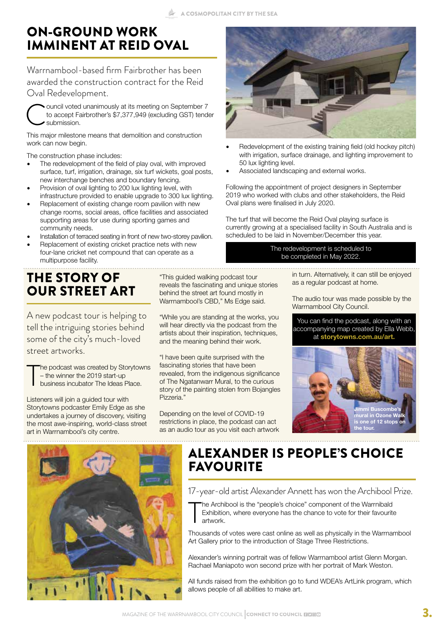## ON-GROUND WORK IMMINENT AT REID OVAL

Warrnambool-based firm Fairbrother has been awarded the construction contract for the Reid Oval Redevelopment.



This major milestone means that demolition and construction work can now begin.

The construction phase includes:

- The redevelopment of the field of play oval, with improved surface, turf, irrigation, drainage, six turf wickets, goal posts, new interchange benches and boundary fencing.
- Provision of oval lighting to 200 lux lighting level, with infrastructure provided to enable upgrade to 300 lux lighting.
- Replacement of existing change room pavilion with new change rooms, social areas, office facilities and associated supporting areas for use during sporting games and community needs.
- Installation of terraced seating in front of new two-storey pavilion.
- Replacement of existing cricket practice nets with new four-lane cricket net compound that can operate as a multipurpose facility.

## THE STORY OF OUR STREET ART

A new podcast tour is helping to tell the intriguing stories behind some of the city's much-loved street artworks.

T he podcast was created by Storytowns – the winner the 2019 start-up business incubator The Ideas Place.

Listeners will join a guided tour with Storytowns podcaster Emily Edge as she undertakes a journey of discovery, visiting the most awe-inspiring, world-class street art in Warrnambool's city centre.

"This guided walking podcast tour reveals the fascinating and unique stories behind the street art found mostly in Warrnambool's CBD," Ms Edge said.

"While you are standing at the works, you will hear directly via the podcast from the artists about their inspiration, techniques, and the meaning behind their work.

"I have been quite surprised with the fascinating stories that have been revealed, from the indigenous significance of The Ngatanwarr Mural, to the curious story of the painting stolen from Bojangles Pizzeria."

Depending on the level of COVID-19 restrictions in place, the podcast can act as an audio tour as you visit each artwork



- Redevelopment of the existing training field (old hockey pitch) with irrigation, surface drainage, and lighting improvement to 50 lux lighting level.
- Associated landscaping and external works.

Following the appointment of project designers in September 2019 who worked with clubs and other stakeholders, the Reid Oval plans were finalised in July 2020.

The turf that will become the Reid Oval playing surface is currently growing at a specialised facility in South Australia and is scheduled to be laid in November/December this year.

> The redevelopment is scheduled to be completed in May 2022.

> > in turn. Alternatively, it can still be enjoyed as a regular podcast at home.

The audio tour was made possible by the Warrnambool City Council.

You can find the podcast, along with an accompanying map created by Ella Webb, at **storytowns.com.au/art.**





## ALEXANDER IS PEOPLE'S CHOICE FAVOURITE

17-year-old artist Alexander Annett has won the Archibool Prize.

T he Archibool is the "people's choice" component of the Warrnibald Exhibition, where everyone has the chance to vote for their favourite artwork.

Thousands of votes were cast online as well as physically in the Warrnambool Art Gallery prior to the introduction of Stage Three Restrictions.

Alexander's winning portrait was of fellow Warrnambool artist Glenn Morgan. Rachael Maniapoto won second prize with her portrait of Mark Weston.

All funds raised from the exhibition go to fund WDEA's ArtLink program, which allows people of all abilities to make art.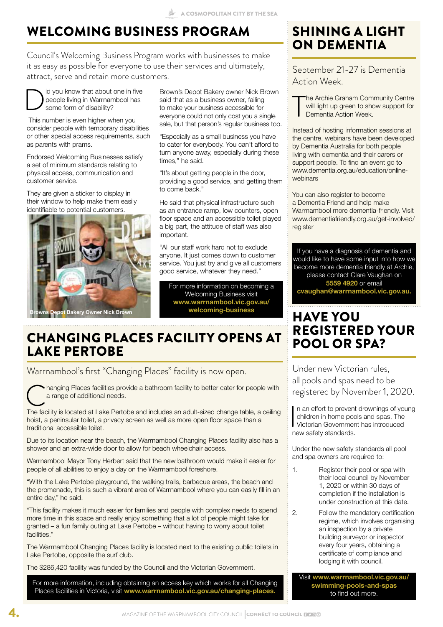## WELCOMING BUSINESS PROGRAM

Council's Welcoming Business Program works with businesses to make it as easy as possible for everyone to use their services and ultimately, attract, serve and retain more customers.

Did you know that about one in five<br>people living in Warrnambool has<br>some form of disability? people living in Warrnambool has some form of disability?

 This number is even higher when you consider people with temporary disabilities or other special access requirements, such as parents with prams.

Endorsed Welcoming Businesses satisfy a set of minimum standards relating to physical access, communication and customer service.

They are given a sticker to display in their window to help make them easily identifiable to potential customers.



Brown's Depot Bakery owner Nick Brown said that as a business owner, failing to make your business accessible for everyone could not only cost you a single sale, but that person's regular business too.

"Especially as a small business you have to cater for everybody. You can't afford to turn anyone away, especially during these times," he said.

"It's about getting people in the door, providing a good service, and getting them to come back."

He said that physical infrastructure such as an entrance ramp, low counters, open floor space and an accessible toilet played a big part, the attitude of staff was also important.

"All our staff work hard not to exclude anyone. It just comes down to customer service. You just try and give all customers good service, whatever they need."

For more information on becoming a Welcoming Business visit **www.warrnambool.vic.gov.au/ welcoming-business**

## CHANGING PLACES FACILITY OPENS AT LAKE PERTOBE

Warrnambool's first "Changing Places" facility is now open.

hanging Places facilities provide a bathroom facility to better cater for people with a range of additional needs.

The facility is located at Lake Pertobe and includes an adult-sized change table, a ceiling hoist, a peninsular toilet, a privacy screen as well as more open floor space than a traditional accessible toilet.

Due to its location near the beach, the Warrnambool Changing Places facility also has a shower and an extra-wide door to allow for beach wheelchair access.

Warrnambool Mayor Tony Herbert said that the new bathroom would make it easier for people of all abilities to enjoy a day on the Warrnambool foreshore.

"With the Lake Pertobe playground, the walking trails, barbecue areas, the beach and the promenade, this is such a vibrant area of Warrnambool where you can easily fill in an entire day," he said.

"This facility makes it much easier for families and people with complex needs to spend more time in this space and really enjoy something that a lot of people might take for granted – a fun family outing at Lake Pertobe – without having to worry about toilet facilities."

The Warrnambool Changing Places facility is located next to the existing public toilets in Lake Pertobe, opposite the surf club.

The \$286,420 facility was funded by the Council and the Victorian Government.

For more information, including obtaining an access key which works for all Changing Places facilities in Victoria, visit **www.warrnambool.vic.gov.au/changing-places.**

## SHINING A LIGHT ON DEMENTIA

September 21-27 is Dementia Action Week.

T he Archie Graham Community Centre will light up green to show support for Dementia Action Week.

Instead of hosting information sessions at the centre, webinars have been developed by Dementia Australia for both people living with dementia and their carers or support people. To find an event go to www.dementia.org.au/education/onlinewebinars

You can also register to become a Dementia Friend and help make Warrnambool more dementia-friendly. Visit www.dementiafriendly.org.au/get-involved/ register

If you have a diagnosis of dementia and would like to have some input into how we become more dementia friendly at Archie, please contact Clare Vaughan on **5559 4920** or email **cvaughan@warrnambool.vic.gov.au.**

## HAVE YOU REGISTERED YOUR POOL OR SPA?

Under new Victorian rules, all pools and spas need to be registered by November 1, 2020.

In an effort to preven<br>
children in home poor<br>
Victorian Governmer<br>
new safety standards. n an effort to prevent drownings of young children in home pools and spas, The Victorian Government has introduced

Under the new safety standards all pool and spa owners are required to:

- 1. Register their pool or spa with their local council by November 1, 2020 or within 30 days of completion if the installation is under construction at this date.
- 2. Follow the mandatory certification regime, which involves organising an inspection by a private building surveyor or inspector every four years, obtaining a certificate of compliance and lodging it with council.

Visit **www.warrnambool.vic.gov.au/ swimming-pools-and-spas** to find out more.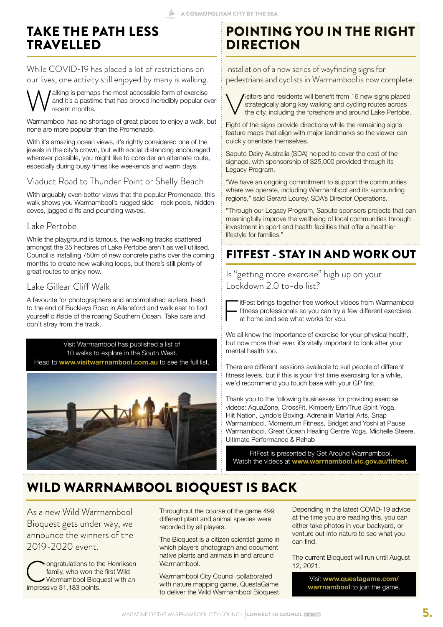## TAKE THE PATH LESS TRAVELLED

While COVID-19 has placed a lot of restrictions on our lives, one activity still enjoyed by many is walking.

Walking is perhaps the most accessible form of exercise<br>and it's a pastime that has proved incredibly popular over<br>cent months. and it's a pastime that has proved incredibly popular over recent months.

Warrnambool has no shortage of great places to enjoy a walk, but none are more popular than the Promenade.

With it's amazing ocean views, it's rightly considered one of the jewels in the city's crown, but with social distancing encouraged wherever possible, you might like to consider an alternate route, especially during busy times like weekends and warm days.

#### Viaduct Road to Thunder Point or Shelly Beach

With arguably even better views that the popular Promenade, this walk shows you Warrnambool's rugged side – rock pools, hidden coves, jagged cliffs and pounding waves.

#### Lake Pertobe

While the playground is famous, the walking tracks scattered amongst the 35 hectares of Lake Pertobe aren't as well utilised. Council is installing 750m of new concrete paths over the coming months to create new walking loops, but there's still plenty of great routes to enjoy now.

#### Lake Gillear Cliff Walk

A favourite for photographers and accomplished surfers, head to the end of Buckleys Road in Allansford and walk east to find yourself cliffside of the roaring Southern Ocean. Take care and don't stray from the track.

Visit Warrnambool has published a list of 10 walks to explore in the South West. Head to **www.visitwarrnambool.com.au** to see the full list.



## POINTING YOU IN THE RIGHT DIRECTION

Installation of a new series of wayfinding signs for pedestrians and cyclists in Warrnambool is now complete.



Sistors and residents will benefit from 16 new signs placed<br>strategically along key walking and cycling routes across<br>the city, including the foreshore and around Lake Pertobe. strategically along key walking and cycling routes across the city, including the foreshore and around Lake Pertobe.

Eight of the signs provide directions while the remaining signs feature maps that align with major landmarks so the viewer can quickly orientate themselves.

Saputo Dairy Australia (SDA) helped to cover the cost of the signage, with sponsorship of \$25,000 provided through its Legacy Program.

"We have an ongoing commitment to support the communities where we operate, including Warrnambool and its surrounding regions," said Gerard Lourey, SDA's Director Operations.

"Through our Legacy Program, Saputo sponsors projects that can meaningfully improve the wellbeing of local communities through investment in sport and health facilities that offer a healthier lifestyle for families."

## FITFEST - STAY IN AND WORK OUT

Is "getting more exercise" high up on your Lockdown 2.0 to-do list?

itFest brings together free workout videos from Warrnambool fitness professionals so you can try a few different exercises at home and see what works for you.

We all know the importance of exercise for your physical health, but now more than ever, it's vitally important to look after your mental health too.

There are different sessions available to suit people of different fitness levels, but if this is your first time exercising for a while, we'd recommend you touch base with your GP first.

Thank you to the following businesses for providing exercise videos: AquaZone, CrossFit, Kimberly Erin/True Spirit Yoga, Hiit Nation, Lyndo's Boxing, Adrenalin Martial Arts, Snap Warrnambool, Momentum Fitness, Bridget and Yoshi at Pause Warrnambool, Great Ocean Healing Centre Yoga, Michelle Steere, Ultimate Performance & Rehab

FitFest is presented by Get Around Warrnambool. Watch the videos at **www.warrnambool.vic.gov.au/fitfest.**

## WILD WARRNAMBOOL BIOQUEST IS BACK

As a new Wild Warrnambool Bioquest gets under way, we announce the winners of the 2019-2020 event.

Congratulations to the Henriksen<br>family, who won the first Wild<br>Warrnambool Bioquest with an<br>impressive 31.183 points. family, who won the first Wild Warrnambool Bioquest with an impressive 31,183 points.

Throughout the course of the game 499 different plant and animal species were recorded by all players.

The Bioquest is a citizen scientist game in which players photograph and document native plants and animals in and around **Warrnambool** 

Warrnambool City Council collaborated with nature mapping game, QuestaGame to deliver the Wild Warrnambool Bioquest. Depending in the latest COVID-19 advice at the time you are reading this, you can either take photos in your backyard, or venture out into nature to see what you can find.

The current Bioquest will run until August 12, 2021.

> Visit **www.questagame.com/ warrnambool** to join the game.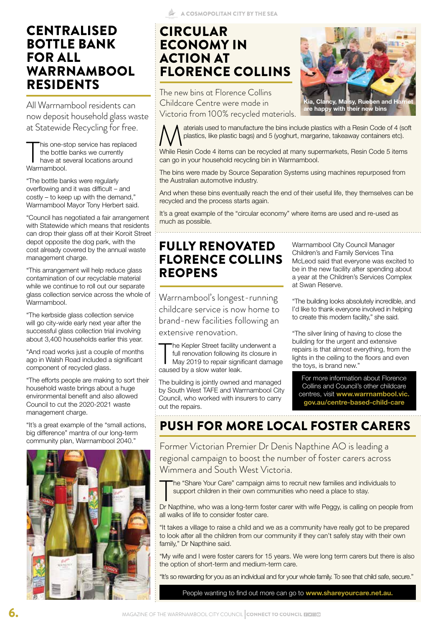## CENTRALISED BOTTLE BANK FOR ALL WARRNAMBOOL RESIDENTS

All Warrnambool residents can now deposit household glass waste at Statewide Recycling for free.

his one-s<br>the bottle<br>have at s<br>Warrnambool. his one-stop service has replaced the bottle banks we currently have at several locations around

"The bottle banks were regularly overflowing and it was difficult – and costly – to keep up with the demand," Warrnambool Mayor Tony Herbert said.

"Council has negotiated a fair arrangement with Statewide which means that residents can drop their glass off at their Koroit Street depot opposite the dog park, with the cost already covered by the annual waste management charge.

"This arrangement will help reduce glass contamination of our recyclable material while we continue to roll out our separate glass collection service across the whole of Warrnambool.

"The kerbside glass collection service will go city-wide early next year after the successful glass collection trial involving about 3,400 households earlier this year.

"And road works just a couple of months ago in Walsh Road included a significant component of recycled glass.

"The efforts people are making to sort their household waste brings about a huge environmental benefit and also allowed Council to cut the 2020-2021 waste management charge.

"It's a great example of the "small actions, big difference" mantra of our long-term community plan, Warrnambool 2040."



## CIRCULAR ECONOMY IN ACTION AT FLORENCE COLLINS

The new bins at Florence Collins Childcare Centre were made in Victoria from 100% recycled materials.

aterials used to manufacture the bins include plastics with a Resin Code of 4 (soft plastics, like plastic bags) and 5 (yoghurt, margarine, takeaway containers etc).

While Resin Code 4 items can be recycled at many supermarkets, Resin Code 5 items can go in your household recycling bin in Warrnambool.

The bins were made by Source Separation Systems using machines repurposed from the Australian automotive industry.

And when these bins eventually reach the end of their useful life, they themselves can be recycled and the process starts again.

It's a great example of the "circular economy" where items are used and re-used as much as possible.

## FULLY RENOVATED FLORENCE COLLINS REOPENS

Warrnambool's longest-running childcare service is now home to brand-new facilities following an extensive renovation.

The Kepler Street facility under the Kepler Street facility under the May 2019 to repair signicaused by a slow water leak. he Kepler Street facility underwent a full renovation following its closure in May 2019 to repair significant damage

The building is jointly owned and managed by South West TAFE and Warrnambool City Council, who worked with insurers to carry out the repairs.

Warrnambool City Council Manager Children's and Family Services Tina McLeod said that everyone was excited to be in the new facility after spending about a year at the Children's Services Complex at Swan Reserve.

"The building looks absolutely incredible, and I'd like to thank everyone involved in helping to create this modern facility," she said.

"The silver lining of having to close the building for the urgent and extensive repairs is that almost everything, from the lights in the ceiling to the floors and even the toys, is brand new."

For more information about Florence Collins and Council's other childcare centres, visit **www.warrnambool.vic. gov.au/centre-based-child-care**

## PUSH FOR MORE LOCAL FOSTER CARERS

Former Victorian Premier Dr Denis Napthine AO is leading a regional campaign to boost the number of foster carers across Wimmera and South West Victoria.

The "Share Your Care" campaign aims to recruit new families and individuals to support children in their own communities who need a place to stay.<br>Dr Napthine, who was a long-term foster carer with wife Peggy, is calling o he "Share Your Care" campaign aims to recruit new families and individuals to support children in their own communities who need a place to stay.

all walks of life to consider foster care.

"It takes a village to raise a child and we as a community have really got to be prepared to look after all the children from our community if they can't safely stay with their own family," Dr Napthine said.

"My wife and I were foster carers for 15 years. We were long term carers but there is also the option of short-term and medium-term care.

"It's so rewarding for you as an individual and for your whole family. To see that child safe, secure."

People wanting to find out more can go to **www.shareyourcare.net.au.**

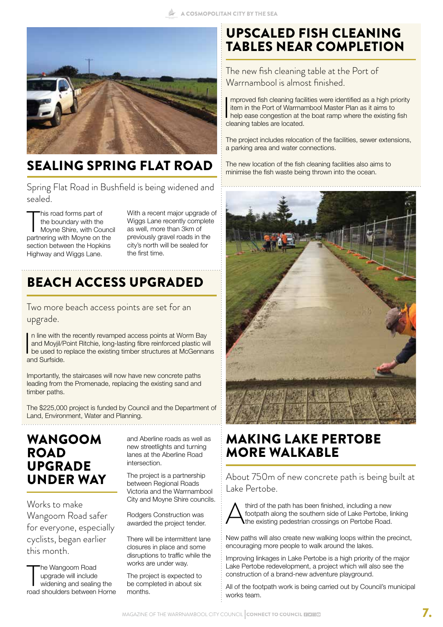

## SEALING SPRING FLAT ROAD

Spring Flat Road in Bushfield is being widened and sealed.

This road forms part of<br>the boundary with the<br>Moyne Shire, with Counc<br>partnering with Moyne on the his road forms part of the boundary with the Moyne Shire, with Council section between the Hopkins Highway and Wiggs Lane.

With a recent major upgrade of Wiggs Lane recently complete as well, more than 3km of previously gravel roads in the city's north will be sealed for the first time.

## BEACH ACCESS UPGRADED

Two more beach access points are set for an upgrade.

 $\begin{array}{c} \n\end{array}$ n line with the recently revamped access points at Worm Bay and Moyjil/Point Ritchie, long-lasting fibre reinforced plastic will be used to replace the existing timber structures at McGennans and Surfside.

Importantly, the staircases will now have new concrete paths leading from the Promenade, replacing the existing sand and timber paths.

The \$225,000 project is funded by Council and the Department of Land, Environment, Water and Planning.

### WANGOOM ROAD UPGRADE UNDER WAY

Works to make Wangoom Road safer for everyone, especially cyclists, began earlier this month.

The Wangoom Road<br>
upgrade will include<br>
widening and sealing the<br>
road shoulders between Horne he Wangoom Road upgrade will include widening and sealing the

and Aberline roads as well as new streetlights and turning lanes at the Aberline Road intersection.

The project is a partnership between Regional Roads Victoria and the Warrnambool City and Moyne Shire councils.

Rodgers Construction was awarded the project tender.

There will be intermittent lane closures in place and some disruptions to traffic while the works are under way.

The project is expected to be completed in about six months.

## UPSCALED FISH CLEANING TABLES NEAR COMPLETION

The new fish cleaning table at the Port of Warrnambool is almost finished.

 $\overline{\phantom{a}}$ mproved fish cleaning facilities were identified as a high priority item in the Port of Warrnambool Master Plan as it aims to help ease congestion at the boat ramp where the existing fish cleaning tables are located.

The project includes relocation of the facilities, sewer extensions, a parking area and water connections.

The new location of the fish cleaning facilities also aims to minimise the fish waste being thrown into the ocean.



## MAKING LAKE PERTOBE MORE WALKABLE

About 750m of new concrete path is being built at Lake Pertobe.



Athird of the path has been finished, including a new<br>footpath along the southern side of Lake Pertobe, lift<br>the existing pedestrian crossings on Pertobe Road. footpath along the southern side of Lake Pertobe, linking the existing pedestrian crossings on Pertobe Road.

New paths will also create new walking loops within the precinct, encouraging more people to walk around the lakes.

Improving linkages in Lake Pertobe is a high priority of the major Lake Pertobe redevelopment, a project which will also see the construction of a brand-new adventure playground.

All of the footpath work is being carried out by Council's municipal works team.